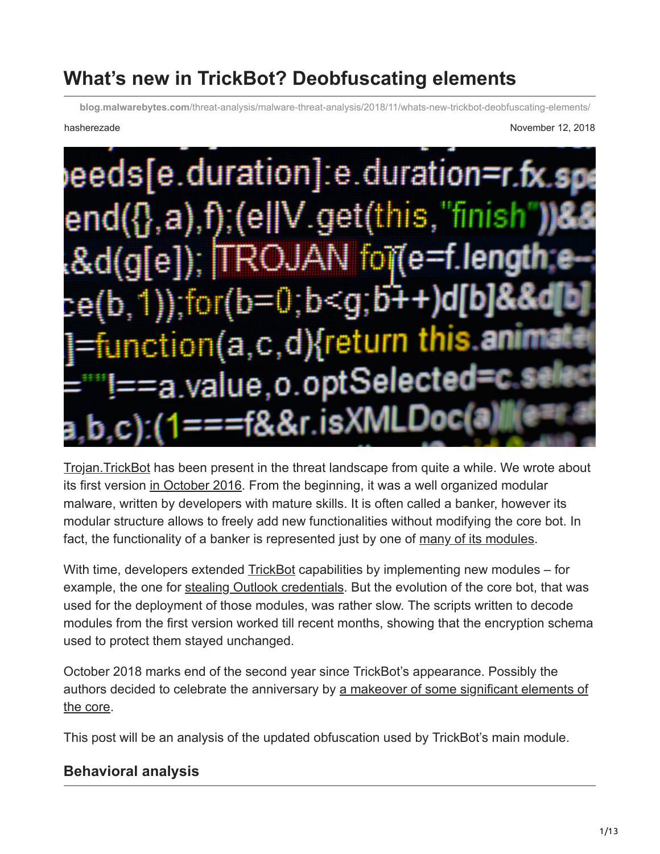# **What's new in TrickBot? Deobfuscating elements**

**blog.malwarebytes.com**[/threat-analysis/malware-threat-analysis/2018/11/whats-new-trickbot-deobfuscating-elements/](https://blog.malwarebytes.com/threat-analysis/malware-threat-analysis/2018/11/whats-new-trickbot-deobfuscating-elements/)

hasherezade November 12, 2018



[Trojan.TrickBot](https://blog.malwarebytes.com/detections/trojan-trickbot/) has been present in the threat landscape from quite a while. We wrote about its first version [in October 2016](https://blog.malwarebytes.com/threat-analysis/2016/10/trick-bot-dyrezas-successor/). From the beginning, it was a well organized modular malware, written by developers with mature skills. It is often called a banker, however its modular structure allows to freely add new functionalities without modifying the core bot. In fact, the functionality of a banker is represented just by one of [many of its modules.](https://www.webroot.com/blog/2018/03/21/trickbot-banking-trojan-adapts-new-module/)

With time, developers extended [TrickBot](https://www.malwarebytes.com/trickbot/) capabilities by implementing new modules – for example, the one for [stealing Outlook credentials.](https://blog.malwarebytes.com/threat-analysis/2017/08/trickbot-comes-with-new-tricks-attacking-outlook-and-browsing-data/) But the evolution of the core bot, that was used for the deployment of those modules, was rather slow. The scripts written to decode modules from the first version worked till recent months, showing that the encryption schema used to protect them stayed unchanged.

October 2018 marks end of the second year since TrickBot's appearance. Possibly the [authors decided to celebrate the anniversary by a makeover of some significant elements of](https://www.malware-traffic-analysis.net/2018/10/15/index.html) the core.

This post will be an analysis of the updated obfuscation used by TrickBot's main module.

#### **Behavioral analysis**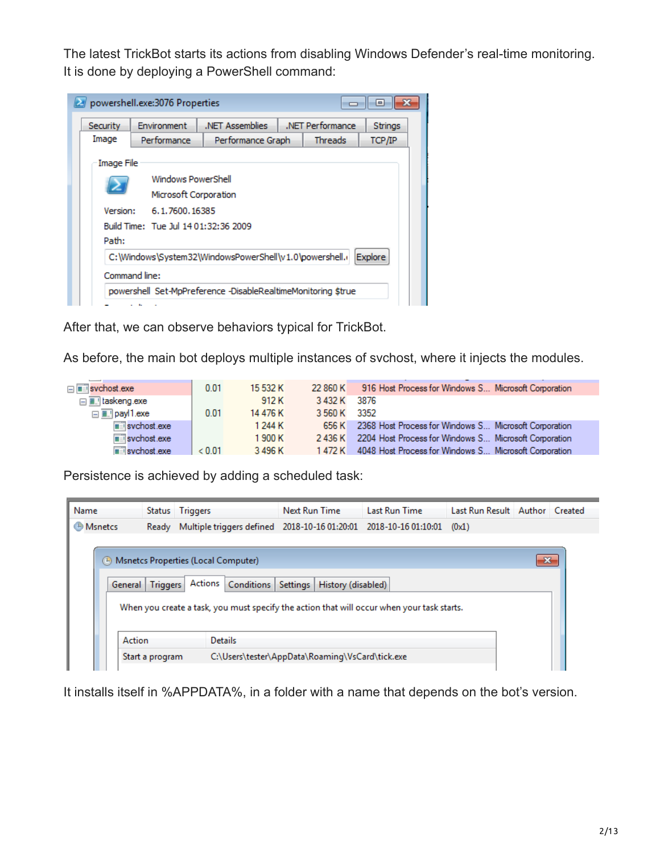The latest TrickBot starts its actions from disabling Windows Defender's real-time monitoring. It is done by deploying a PowerShell command:

|                                             |                                      | .NET Performance<br>.NET Assemblies<br>Environment<br>Strings |  |                |                |  |  |  |  |
|---------------------------------------------|--------------------------------------|---------------------------------------------------------------|--|----------------|----------------|--|--|--|--|
| Image                                       | Performance                          | Performance Graph                                             |  | <b>Threads</b> | TCP/IP         |  |  |  |  |
| Image File                                  |                                      |                                                               |  |                |                |  |  |  |  |
| Windows PowerShell<br>Microsoft Corporation |                                      |                                                               |  |                |                |  |  |  |  |
| Version:                                    | 6.1.7600.16385                       |                                                               |  |                |                |  |  |  |  |
|                                             | Build Time: Tue Jul 14 01:32:36 2009 |                                                               |  |                |                |  |  |  |  |
| Path:                                       |                                      |                                                               |  |                |                |  |  |  |  |
|                                             |                                      | C:\Windows\System32\WindowsPowerShell\v1.0\powershell.i       |  |                | <b>Explore</b> |  |  |  |  |
| Command line:                               |                                      |                                                               |  |                |                |  |  |  |  |

After that, we can observe behaviors typical for TrickBot.

As before, the main bot deploys multiple instances of svchost, where it injects the modules.

| ⊟ <mark>≡ svchost.exe</mark>        | 0.01   | 15 532 K | 22 860 K     | 916 Host Process for Windows S Microsoft Corporation         |
|-------------------------------------|--------|----------|--------------|--------------------------------------------------------------|
| □ laskeng.exe                       |        | 912 K    | 3 432 K      | - 3876                                                       |
| ⊟ <b>E</b> . payl1.exe              | 0.01   | 14 476 K | 3 560 K 3352 |                                                              |
| $\overline{\mathbb{F}}$ svchost.exe |        | 1 244 K  |              | 656 K 2368 Host Process for Windows S Microsoft Corporation  |
| $\blacksquare$ svchost.exe          |        | 1900 K   |              | 2436 K 2204 Host Process for Windows S Microsoft Corporation |
| $\equiv$ svchost $exe$              | & 0.01 | 3496K    |              | 1472 K 4048 Host Process for Windows S Microsoft Corporation |

Persistence is achieved by adding a scheduled task:

| Name             |                                                                    | Status Triggers                                                                                                                                    | Next Run Time                              | <b>Last Run Time</b> | Last Run Result Author Created |     |  |  |  |
|------------------|--------------------------------------------------------------------|----------------------------------------------------------------------------------------------------------------------------------------------------|--------------------------------------------|----------------------|--------------------------------|-----|--|--|--|
| <b>B</b> Msnetcs |                                                                    | Ready Multiple triggers defined 2018-10-16 01:20:01 2018-10-16 01:10:01                                                                            |                                            |                      | (0x1)                          |     |  |  |  |
|                  | General Triggers                                                   | (4) Msnetcs Properties (Local Computer)<br>Actions  <br>When you create a task, you must specify the action that will occur when your task starts. | Conditions   Settings   History (disabled) |                      |                                | -23 |  |  |  |
|                  | Action<br><b>Details</b>                                           |                                                                                                                                                    |                                            |                      |                                |     |  |  |  |
|                  | C:\Users\tester\AppData\Roaming\VsCard\tick.exe<br>Start a program |                                                                                                                                                    |                                            |                      |                                |     |  |  |  |

It installs itself in %APPDATA%, in a folder with a name that depends on the bot's version.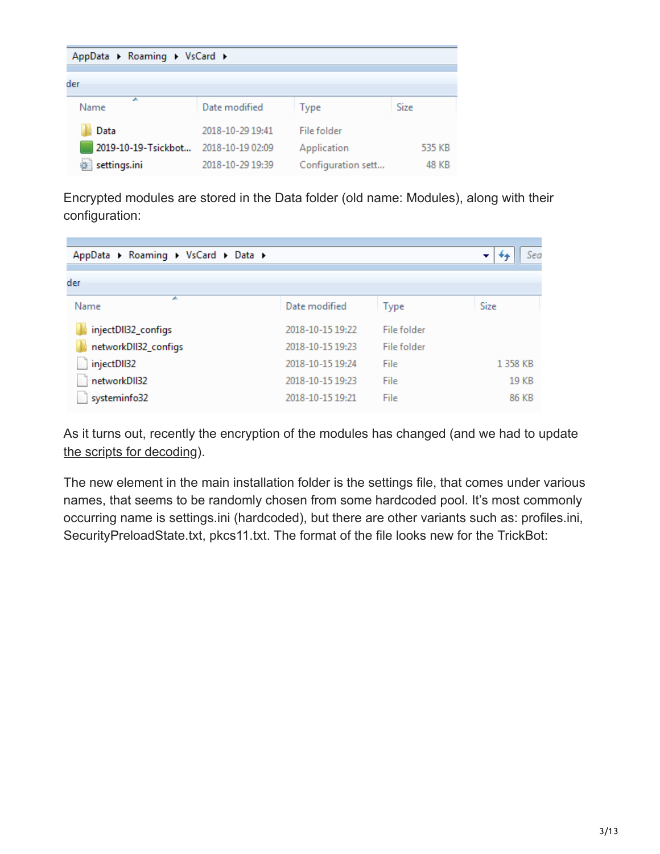| AppData ▶ Roaming ▶ VsCard ▶ |                  |                    |        |
|------------------------------|------------------|--------------------|--------|
| der                          |                  |                    |        |
| A<br>Name                    | Date modified    |                    | Size   |
|                              |                  | <b>Type</b>        |        |
| Data                         | 2018-10-29 19:41 | File folder        |        |
| 2019-10-19-Tsickbot          | 2018-10-19 02:09 | Application        | 535 KB |
| settings.ini                 | 2018-10-29 19:39 | Configuration sett | 48 KB  |

Encrypted modules are stored in the Data folder (old name: Modules), along with their configuration:

| AppData > Roaming > VsCard > Data > |                  |             | Sea<br>▼ |
|-------------------------------------|------------------|-------------|----------|
| der                                 |                  |             |          |
| ┻<br>Name                           | Date modified    | <b>Type</b> | Size     |
| injectDII32_configs                 | 2018-10-15 19:22 | File folder |          |
| networkDII32_configs                | 2018-10-15 19:23 | File folder |          |
| injectDII32                         | 2018-10-15 19:24 | File        | 1 358 KB |
| networkDII32                        | 2018-10-15 19:23 | File        | 19 KB    |
| systeminfo32                        | 2018-10-15 19:21 | File        | 86 KB    |

As it turns out, recently the encryption of the modules has changed (and we had to update [the scripts for decoding](https://github.com/hasherezade/malware_analysis/tree/master/trickbot)).

The new element in the main installation folder is the settings file, that comes under various names, that seems to be randomly chosen from some hardcoded pool. It's most commonly occurring name is settings.ini (hardcoded), but there are other variants such as: profiles.ini, SecurityPreloadState.txt, pkcs11.txt. The format of the file looks new for the TrickBot: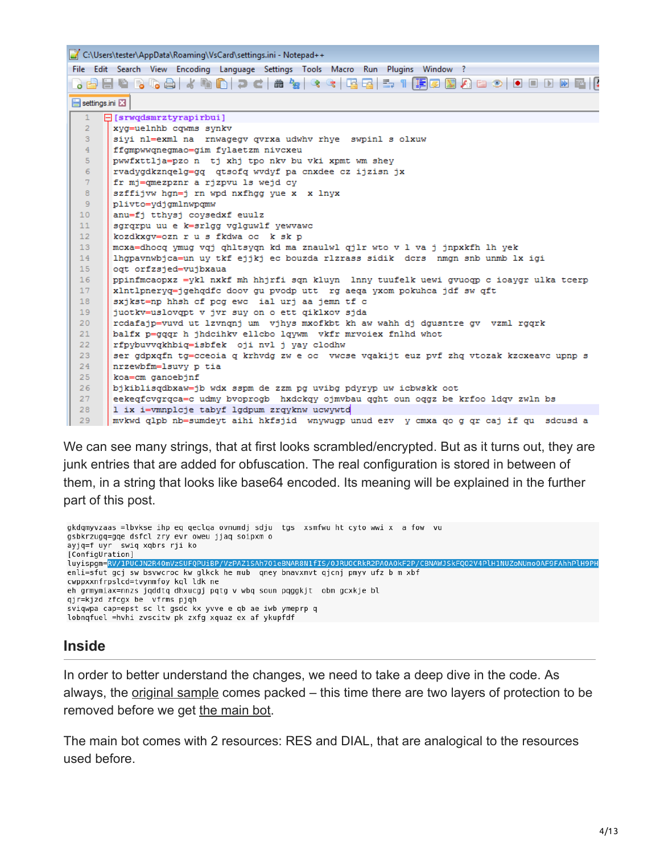|                                        | C:\Users\tester\AppData\Roaming\VsCard\settings.ini - Notepad++                                                  |
|----------------------------------------|------------------------------------------------------------------------------------------------------------------|
|                                        | File Edit Search View Encoding Language Settings Tools Macro Run Plugins Window ?                                |
|                                        | } <mark>}B @ B % &amp;   .{ % M } c   # %   * *   13 13   = 11   F &amp; D } } } } { © 10 10 10 12   #   </mark> |
| $\blacksquare$ settings in $\boxtimes$ |                                                                                                                  |
| $\mathbf{1}$                           | $\Box$ [srwgdsmrztyrapirbui]                                                                                     |
| $\overline{2}$                         | xyg=uelnhb cqwms synkv                                                                                           |
| 3 <sup>°</sup>                         | siyi nl=exml na rnwagegv qvrxa udwhv rhye swpinl s olxuw                                                         |
| $\overline{4}$                         | ffgmpwwgnegmao=gim fylaetzm nivcxeu                                                                              |
| 5 <sub>1</sub>                         | pwwfxttlja=pzo n tj xhj tpo nkv bu vki xpmt wm shey                                                              |
| -6                                     | rvadygdkzngelg=gg qtsofg wvdyf pa cnxdee cz ijzisn jx                                                            |
| 7 <sup>7</sup>                         | fr mj=qmezpznr a rjzpvu ls wejd cy                                                                               |
| 8                                      | szffijvw hgn=j rn wpd nxfhgg yue x x lnyx                                                                        |
| -9.                                    | plivto=vdjgmlnwpgmw                                                                                              |
| 10 <sub>1</sub>                        | anu=fj tthysj coysedxf euulz                                                                                     |
| 11                                     | sgrgrpu uu e k=srlgg vglguwlf yewvawc                                                                            |
| 12 <sub>1</sub>                        | kozdkxgv=ozn r u s fkdwa oc k sk p                                                                               |
| 13 <sup>°</sup>                        | mcxa=dhocq ymug vqj qhltsyqn kd ma znaulwl qjlr wto v 1 va j jnpxkfh lh yek                                      |
| 14                                     | lhqpavnwbjca=un uy tkf ejjkj ec bouzda rlzrass sidik dcrs nmqn snb unmb lx iqi                                   |
| 15 <sub>1</sub>                        | ogt orfzsjed=vujbxaua                                                                                            |
| 16                                     | ppinfmcaopxz = vkl nxkf mh hhjrfi sgn kluvn lnny tuufelk uewi gvuogp c ioavgr ulka tcerp                         |
| 17                                     | xlntlpnervq=jqehqdfc doov qu pvodp utt rq aeqa yxom pokuhca jdf sw qft                                           |
| 18                                     | sxjkst=np hhsh cf pcg ewc ial urj aa jemn tf c                                                                   |
| 19                                     | juotkv=uslovqpt v jvr suy on o ett qiklxov sjda                                                                  |
| 20 <sub>1</sub>                        | rcdafajp=vuvd ut lzvngnj um vjhys mxofkbt kh aw wahh dj dgusntre gv vzml rggrk                                   |
| 21                                     | balfx p=qqqr h jhdcihkv ellcbo lqywm vkfr mrvoiex fnlhd whot                                                     |
| 22                                     | rfpybuvvqkhbiq=isbfek oji nvl j yay clodhw                                                                       |
| 23 <sub>1</sub>                        | ser gdpxqfn tg=cceoia q krhvdg zw e oc vwcse vqakijt euz pvf zhq vtozak kzcxeavc upnp s                          |
| 24                                     | nrzewbfm=lsuvy p tia                                                                                             |
| 25 <sub>1</sub>                        | koa=cm ganoebjnf                                                                                                 |
| 26                                     | bjkiblisqdbxaw=jb wdx sspm de zzm pq uvibq pdyryp uw icbwskk oot                                                 |
| 27                                     | eekegfcvgrgca=c udmy bvoprogb hxdckgy ojmvbau gght oun oggz be krfoo ldgv zwln bs                                |
| 28                                     | 1 ix i=vmnplcje tabyf lgdpum zrqyknw ucwywtd                                                                     |
| 29                                     | mvkwd glob nb=sumdevt aihi hkfsjid  wnvwugo unud ezv  v cmxa go g gr caj if gu  sdcusd a                         |

We can see many strings, that at first looks scrambled/encrypted. But as it turns out, they are junk entries that are added for obfuscation. The real configuration is stored in between of them, in a string that looks like base64 encoded. Its meaning will be explained in the further part of this post.

```
gkdgmyvzaas =lbvkse ihp eg geclga ovnumdj sdju tgs xsmfwu ht cyto wwi x a fow vu
gsbkrzugq=gqe dsfcl zry evr oweu jjaq soipxm o
ayjq=f uyr swiq xqbrs rji ko
[ConfigUration]
luyispgm=<mark>RV/1PUCJN2R40mVzSUFQPUiBP/VzPAZ1SAh701eBNAR8N1fIS/0JRU0CRkR2PA0A0kF2P/CBNAWJSkFQ02V4PlH1N</mark>
enli=sfut gcj sw bsvwcroc kw glkck he mub qney bnavxmvt qjcnj pmyv ufz b m xbf
cwppxxnfrpslcd=tvynmfoy kql ldk ne
eh grmymiax=nnzs jąddtą dhxucgj pątg v wbą soun pąggkjt obm gcxkje bl
qjr=kjzd zfcgx be vfrms pjqh
sviqwpa cap=epst sc lt gsdc kx yvve e qb ae iwb ymeprp q
lobnqfuel =hvhi zvscitw pk zxfg xquaz ex af ykupfdf
```
#### **Inside**

In order to better understand the changes, we need to take a deep dive in the code. As always, the [original sample](https://www.virustotal.com/en/file/9b6ff6f6f45a18bf3d05bba18945a83da2adfbe6e340a68d3f629c4b88b243a8/analysis/) comes packed – this time there are two layers of protection to be removed before we get [the main bot](https://www.virustotal.com/en/file/3a56e9ce42c6d028f1c1dd3efe535dbcdd90490b12a093eec312bf276bda0b37/analysis/).

The main bot comes with 2 resources: RES and DIAL, that are analogical to the resources used before.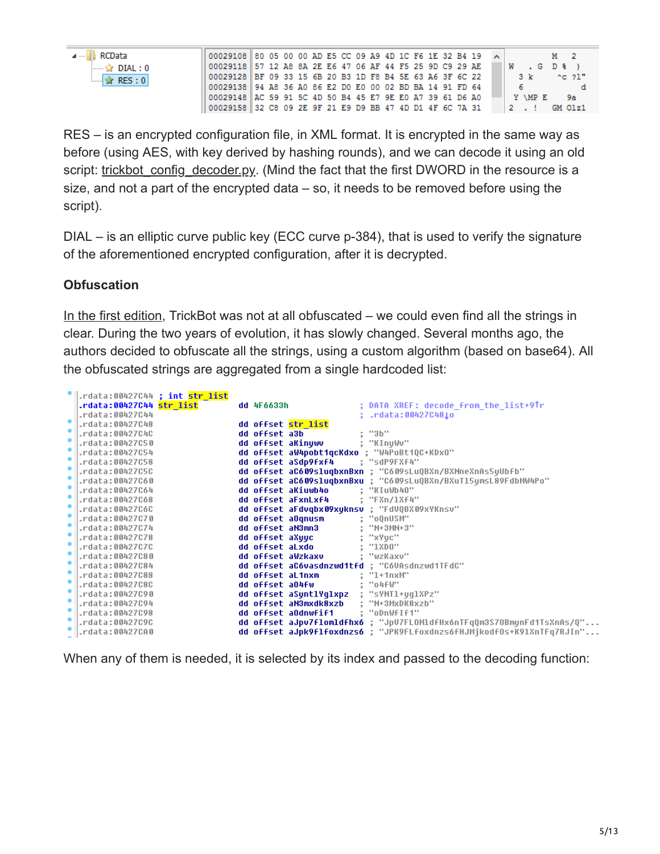|  | ∥ RCData |          |  |
|--|----------|----------|--|
|  |          | DIAL : 0 |  |
|  |          | RES:0    |  |
|  |          |          |  |

| 00029108 80 05 00 00 AD E5 CC 09 A9 4D 1C F6 1E 32 B4 19 $\vert \wedge \vert$ |  |  |  |  |  |  |  |  |  |                               | <b>M</b> 2 |                     |  |
|-------------------------------------------------------------------------------|--|--|--|--|--|--|--|--|--|-------------------------------|------------|---------------------|--|
| 00029118 57 12 A8 8A 2E E6 47 06 AF 44 F5 25 9D C9 29 AE                      |  |  |  |  |  |  |  |  |  | $ W $ . $G$ D $\frac{1}{2}$ ) |            |                     |  |
| 00029128 BF 09 33 15 6B 20 B3 1D F8 B4 5E 63 A6 3F 6C 22                      |  |  |  |  |  |  |  |  |  |                               |            | $3 k$ ^c $21$ "     |  |
| 00029138 94 A8 36 A0 86 E2 D0 E0 00 02 BD BA 14 91 FD 64                      |  |  |  |  |  |  |  |  |  | $-6$ $-1$                     |            |                     |  |
| 00029148 AC 59 91 5C 4D 50 B4 45 E7 9E E0 A7 39 61 D6 A0                      |  |  |  |  |  |  |  |  |  | Y AMP E                       |            | 9а                  |  |
| 00029158 32 C8 09 2E 9F 21 E9 D9 BB 47 4D D1 4F 6C 7A 31                      |  |  |  |  |  |  |  |  |  |                               |            | $2 \cdot 1$ GM 01z1 |  |

RES – is an encrypted configuration file, in XML format. It is encrypted in the same way as before (using AES, with key derived by hashing rounds), and we can decode it using an old script: trickbot config decoder.py. (Mind the fact that the first DWORD in the resource is a size, and not a part of the encrypted data – so, it needs to be removed before using the script).

DIAL – is an elliptic curve public key (ECC curve p-384), that is used to verify the signature of the aforementioned encrypted configuration, after it is decrypted.

#### **Obfuscation**

[In the first edition,](https://blog.malwarebytes.com/threat-analysis/2016/10/trick-bot-dyrezas-successor/) TrickBot was not at all obfuscated – we could even find all the strings in clear. During the two years of evolution, it has slowly changed. Several months ago, the authors decided to obfuscate all the strings, using a custom algorithm (based on base64). All the obfuscated strings are aggregated from a single hardcoded list:

| .rdata:00427C44 ; int str list |               |                                         |                                                                       |
|--------------------------------|---------------|-----------------------------------------|-----------------------------------------------------------------------|
| .rdata:00427C44 str list       | dd 4F6633h    |                                         | ; DATA XREF: decode from the list+9Tr                                 |
| .rdata:00427C44                |               |                                         | : .rdata:00427C481o                                                   |
| .rdata:00427C48                |               | dd offset str list                      |                                                                       |
| .rdata:00427C4C                | dd offset a3b |                                         | : "3b"                                                                |
| rdata:00427C50.                |               |                                         |                                                                       |
| .rdata:00427C54                |               |                                         | dd offset aW4pobt1qcKdxo ; "W4PoBt1QC+KDxO"                           |
| rdata:00427C58.                |               | dd offset aSdp9fxf4 ; "sdP9FXf4"        |                                                                       |
| .rdata:00427C5C                |               |                                         | dd offset aC609sluqbxnBxn ; "C609sLuQBXn/BXNneXnAs5yUbfb"             |
| .rdata:00427C60                |               |                                         | dd offset aC609sluqbxnBxu ; "C609sLuQBXn/BXuT15ymsL89FdbMW4Po"        |
| .rdata:00427C64                |               | dd offset aKiuwb4o : "KIuWb40"          |                                                                       |
| rdata:00427C68.                |               | dd offset aFxnLxf4 ; "FXn/1Xf4"         |                                                                       |
| .rdata:00427C6C                |               |                                         | dd offset aFdvqbx09xuknsv ; "FdVQBX09xYKnsv"                          |
| .rdata:00427C70                |               | dd offset a0qnusm = ; "oQnUSM"          |                                                                       |
| .rdata:00427C74                |               | dd offset aN3mn3 : "N+3MN+3"            |                                                                       |
| rdata:00427C78.                |               | dd offset aXuuc                         | : "xYuc"                                                              |
| .rdata:00427C7C                |               | dd offset aLxdo                         | : "1XDO"                                                              |
| .rdata:00427C80                |               | dd offset aWzkaxv : "wzKaxv"            |                                                                       |
| .rdata:00427C84                |               |                                         | dd offset aCóvasdnzwd1tfd ; "C6VAsdnzwd1TFdC"                         |
| rdata:00427C88.                |               | dd offset aL1nxm                        | : "1+1nxM"                                                            |
| .rdata:00427C8C                |               | dd offset a04fw : "o4fW"                |                                                                       |
| .rdata:00427C90                |               | dd offset aSyntlYqlxpz ; "sYNTl+yqlXPz" |                                                                       |
| .rdata:00427C94                |               | dd offset aN3mxdk8xzb                   | : "N+3MxDK8xzb"                                                       |
| rdata:00427C98.                |               | dd offset aOdnwfif1 : "oDnWfIf1"        |                                                                       |
| .rdata:00427C9C                |               |                                         | dd offset aJpv7flomldfhx6 ; "JpV7FLOMldfHx6nTFqQm3S70BmynFd1TsXnAs/Q" |
| .rdata:00427CA0                |               |                                         | dd offset aJpk9f1foxdnzs6 ; "JPK9FLfoxdnzs6fHJMjkodf0s+K91XnTFq7RJIn" |
|                                |               |                                         |                                                                       |

When any of them is needed, it is selected by its index and passed to the decoding function: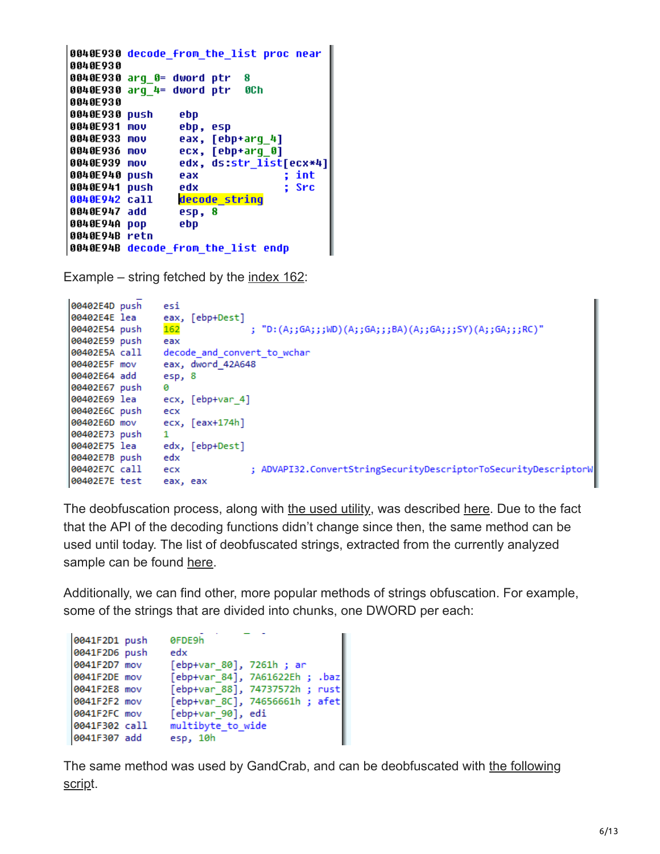```
0040E930 decode from the list proc near
0040E930
0040E930 arq 0= dword ptr
                           8
0040E930 arq 4= dword ptr
                           OCh
0040E930
0040E930 push
                 ebp
0040E931 mov
                 ebp, esp
0040E933 mov
                 eax, [ebp+arq 4]
0040E936 mov
                 ecx, [ebp+arq 0]
                 edx, ds:str_list[ecx*4]
0040E939 mov
0040E940 push
                 eax
                                  ; int
                                  ; Src
0040E941 push
                 edx
                 decode strinq
0040E942 call
0040E947 add
                 esp, 8
0040E94A pop
                 ebp
0040E94B retn
0040E94B decode_from_the_list endp
```
Example – string fetched by the [index 162:](https://gist.github.com/hasherezade/ff0b9ebacb1e47464cf6783e787e69b8#file-extracted_list-txt-L226)

```
00402E4D push
                esi
00402E4E lea
                eax, [ebp+Dest]
                               ; "D:(A;;GA;;;WD)(A;;GA;;;BA)(A;;GA;;;SY)(A;;GA;;;RC)";
00402E54 push
                162
00402E59 push
                eax
00402E5A call
                decode and convert to wchar
               eax, dword 42A648
00402E5F mov
00402E64 add
               esp, 8
00402E67 push
                ø
00402E69 lea
               ecx, [ebp+var_4]
00402E6C push
               ecx
00402E6D mov
               ecx, [eax+174h]
00402E73 push 1
00402E75 lea
              edx, [ebp+Dest]
00402E7B push edx
00402E7C call ecx
                               ; ADVAPI32.ConvertStringSecurityDescriptorToSecurityDescriptorW
00402E7E test eax, eax
```
The deobfuscation process, along with [the used utility,](https://gist.github.com/hasherezade/2f09ae061b196ce16fce777472649346) was described [here](https://www.youtube.com/watch?v=KMcSAlS9zGE). Due to the fact that the API of the decoding functions didn't change since then, the same method can be used until today. The list of deobfuscated strings, extracted from the currently analyzed sample can be found [here.](https://gist.github.com/hasherezade/ff0b9ebacb1e47464cf6783e787e69b8#file-extracted_list-txt)

Additionally, we can find other, more popular methods of strings obfuscation. For example, some of the strings that are divided into chunks, one DWORD per each:

| 0041F2D1 push | ØFDE9h                         |
|---------------|--------------------------------|
| 0041F2D6 push | edx                            |
| 0041F2D7 mov  | [ebp+var 80], 7261h; ar        |
| 0041F2DE mov  | [ebp+var 84], 7A61622Eh ; .baz |
| 0041F2E8 mov  | [ebp+var 88], 74737572h ; rust |
| 0041F2F2 mov  | [ebp+var 8C], 74656661h ; afet |
| 0041F2FC mov  | [ebp+var 90], edi              |
| 0041F302 call | multibyte_to_wide              |
| 0041F307 add  | esp, 10h                       |
|               |                                |

[The same method was used by GandCrab, and can be deobfuscated with the following](https://github.com/hasherezade/malware_analysis/blob/master/crabstr.py) script.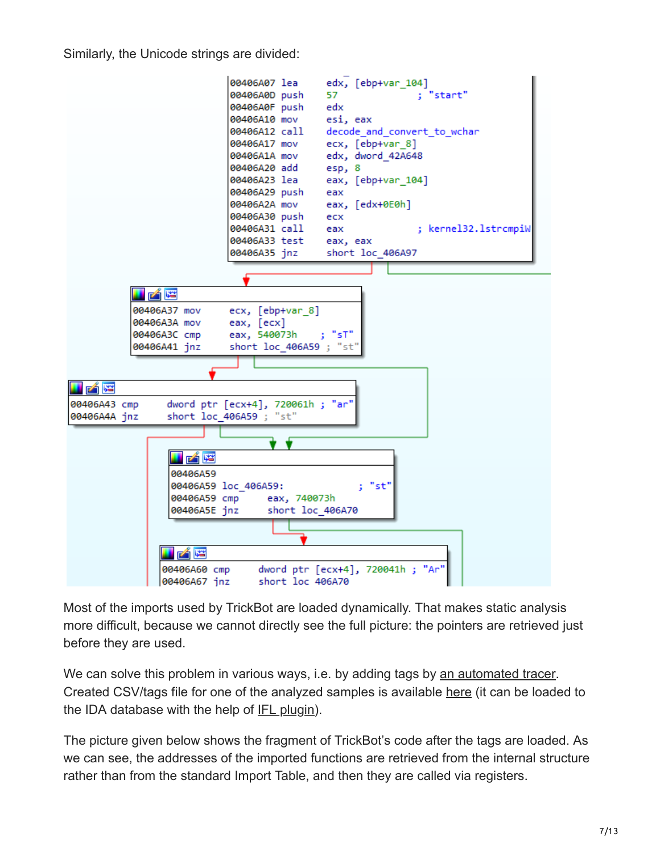Similarly, the Unicode strings are divided:



Most of the imports used by TrickBot are loaded dynamically. That makes static analysis more difficult, because we cannot directly see the full picture: the pointers are retrieved just before they are used.

We can solve this problem in various ways, i.e. by adding tags by [an automated tracer.](https://github.com/hasherezade/tiny_tracer) Created CSV/tags file for one of the analyzed samples is available [here](https://gist.github.com/malwarezone/b406da290b873d2ae7867ec79029a88e) (it can be loaded to the IDA database with the help of [IFL plugin\)](https://github.com/hasherezade/ida_ifl).

The picture given below shows the fragment of TrickBot's code after the tags are loaded. As we can see, the addresses of the imported functions are retrieved from the internal structure rather than from the standard Import Table, and then they are called via registers.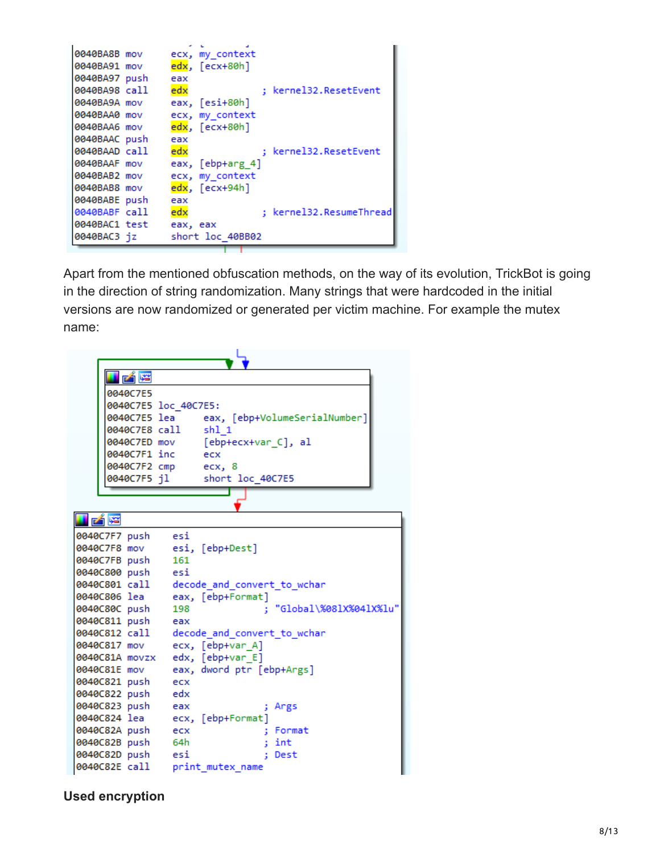```
0040BA8B mov
                ecx, my_context
0040BA91 mov
                edx, [ecx+80h]
0040BA97 push
                eax
0040BA98 call
                                ; kernel32.ResetEvent
                edx
0040BA9A mov
                eax, [esi+80h]
0040BAA0 mov
               ecx, my_context
               edx, [ecx+80h]
0040BAA6 mov
0040BAAC push
              eax
                                ; kernel32.ResetEvent
0040BAAD call
                edx
0040BAAF mov
               eax, [ebp+arg_4]
0040BAB2 mov
                ecx, my_context
               edx, [ecx+94h]
0040BAB8 mov
0040BABE push
                eax
                edx
0040BABF call
                                ; kernel32.ResumeThread
0040BAC1 test
                eax, eax
0040BAC3 jz
                short loc 40BB02
```
Apart from the mentioned obfuscation methods, on the way of its evolution, TrickBot is going in the direction of string randomization. Many strings that were hardcoded in the initial versions are now randomized or generated per victim machine. For example the mutex name:

| i zí fe              |                                            |
|----------------------|--------------------------------------------|
|                      |                                            |
| 0040C7E5             |                                            |
| 0040C7E5 loc_40C7E5: |                                            |
|                      | 0040C7E5 lea eax, [ebp+VolumeSerialNumber] |
| 0040C7E8 call shl 1  |                                            |
| 0040C7ED mov         | [ebp+ecx+var C], al                        |
| 0040C7F1 inc         | ecx                                        |
|                      | 0040C7F2 cmp ecx, 8                        |
| 0040C7F5 jl          | short loc_40C7E5                           |
|                      |                                            |
|                      |                                            |
| <u>H zár</u>         |                                            |
| 0040C7F7 push        | esi                                        |
| 0040C7F8 mov         | esi, [ebp+Dest]                            |
| 0040C7FB push        | 161                                        |
| 0040C800 push esi    |                                            |
| 0040C801 call        | decode and convert to wchar                |
| 0040C806 lea         | eax, [ebp+Format]                          |
| 0040C80C push        | : "Global\%081X%041X%lu"<br>198            |
| 0040C811 push        | eax                                        |
| 0040C812 call        | decode and convert to wchar                |
| 0040C817 mov         | ecx, [ebp+var A]                           |
| 0040C81A movzx       | edx, [ebp+var_E]                           |
| 0040C81E mov         | eax, dword ptr [ebp+Args]                  |
| 0040C821 push        | ecx                                        |
| 0040C822 push        | edx                                        |
| 0040C823 push eax    | ; Args                                     |
| 0040C824 lea         | ecx, [ebp+Format]                          |
| 0040C82A push        | : Format<br>ecx                            |
| 0040C82B push        | 64h<br>int<br>÷                            |
| 0040C82D push esi    | Dest                                       |
| 0040C82E call        | print mutex name                           |

**Used encryption**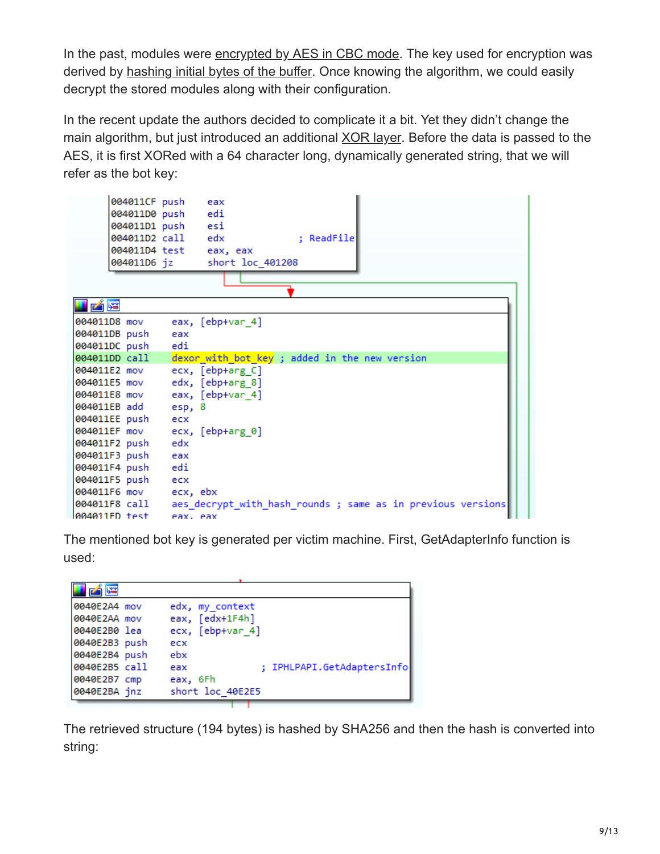In the past, modules were [encrypted by AES in CBC mode](https://github.com/hasherezade/malware_analysis/blob/master/trickbot/trick_config_decoder.py#L20). The key used for encryption was derived by [hashing initial bytes of the buffer.](https://github.com/hasherezade/malware_analysis/blob/master/trickbot/trick_config_decoder.py#L14) Once knowing the algorithm, we could easily decrypt the stored modules along with their configuration.

In the recent update the authors decided to complicate it a bit. Yet they didn't change the main algorithm, but just introduced an additional [XOR layer.](https://github.com/hasherezade/malware_analysis/blob/master/trickbot/trick_config_decoder.py#L68) Before the data is passed to the AES, it is first XORed with a 64 character long, dynamically generated string, that we will refer as the bot key:

|                       | 004011CF push          | eax                                                        |
|-----------------------|------------------------|------------------------------------------------------------|
|                       | 004011D0 push          | edi                                                        |
|                       | 004011D1 push esi      |                                                            |
|                       | 004011D2 call edx      | : ReadFile                                                 |
|                       | 004011D4 test eax, eax |                                                            |
|                       | 004011D6 jz            | short loc 401208                                           |
|                       |                        |                                                            |
|                       |                        |                                                            |
| 凶降                    |                        |                                                            |
| 004011D8 mov          |                        | eax, [ebp+var_4]                                           |
| 004011DB push         | eax                    |                                                            |
| 004011DC push         | edi                    |                                                            |
| 004011DD call         |                        | dexor with bot key; added in the new version               |
| 004011E2 mov          |                        | ecx, [ebp+arg_C]                                           |
| 004011E5 mov          |                        | edx, [ebp+arg_8]                                           |
| 004011E8 mov          |                        | eax, [ebp+var_4]                                           |
| 004011EB add          | esp, 8                 |                                                            |
| 004011EE push         | ecx                    |                                                            |
| 004011EF mov          |                        | ecx, [ebp+arg 0]                                           |
| 004011F2 push         | edx                    |                                                            |
| 004011F3 push         | eax                    |                                                            |
| 004011F4 push         | edi                    |                                                            |
| 004011F5 push         | ecx                    |                                                            |
| 004011F6 mov ecx, ebx |                        |                                                            |
| 004011F8 call         |                        | aes decrypt with hash rounds; same as in previous versions |
| 004011FD test         | eax, eax               |                                                            |

The mentioned bot key is generated per victim machine. First, GetAdapterInfo function is used:

| الثابا        |                                   |
|---------------|-----------------------------------|
| 0040E2A4 mov  | edx, my context                   |
| 0040E2AA mov  | eax, [edx+1F4h]                   |
| 0040E2B0 lea  | ecx, [ebp+var 4]                  |
| 0040E2B3 push | ecx                               |
| 0040E2B4 push | ebx                               |
| 0040E2B5 call | ; IPHLPAPI.GetAdaptersInfo<br>eax |
| 0040E2B7 cmp  | eax, 6Fh                          |
| 0040E2BA jnz  | short loc 40E2E5                  |

The retrieved structure (194 bytes) is hashed by SHA256 and then the hash is converted into string: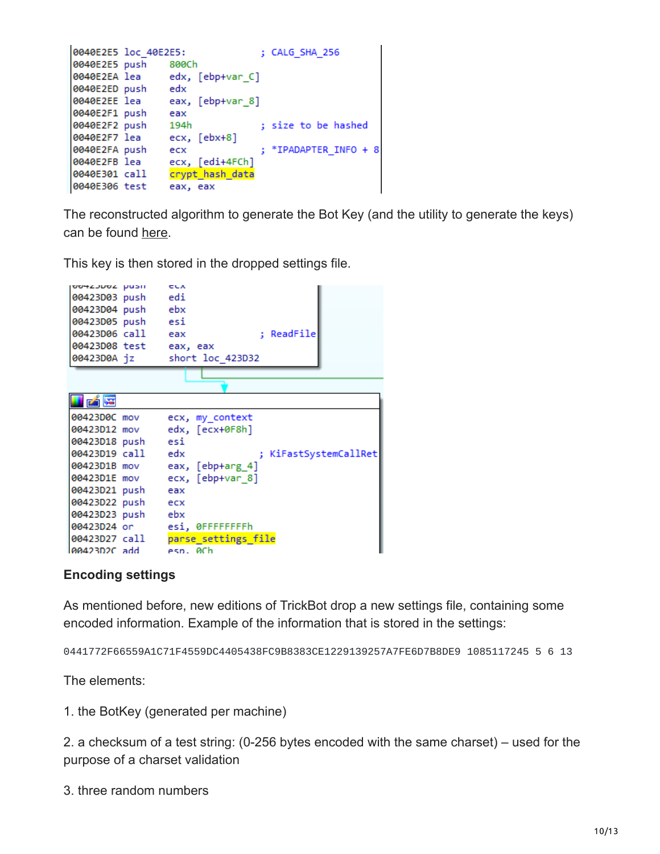```
0040E2E5 loc 40E2E5:
                                 ; CALG SHA 256
0040E2E5 push 800Ch
0040E2EA lea
                 edx, [ebp+var_C]
0040E2ED push
                edx
0040E2EE lea
                eax, [ebp+var_8]
0040E2F1 push
                eax
0040E2F2 push 194h
                               ; size to be hashed
               ecx, [ebx+8]
0040E2F7 lea
                                 ; *IPADAPTER INFO + 8
0040E2FA push ecx
0040E2FB lea ecx, [edi+4FCh]
0040E301 call crypt_hash_data<br>0040E301 call crypt_hash_data
```
The reconstructed algorithm to generate the Bot Key (and the utility to generate the keys) can be found [here.](https://github.com/hasherezade/malware_analysis/blob/master/trickbot/make_bot_key.cpp)

This key is then stored in the dropped settings file.

| OO4ZJUOZ PUSH          | <b>CLA</b>                  |
|------------------------|-----------------------------|
| 00423D03 push edi      |                             |
| 00423D04 push ebx      |                             |
| 00423D05 push esi      |                             |
| 00423D06 call eax      | ; ReadFile                  |
| 00423D08 test eax, eax |                             |
| 00423D0A jz            | short loc 423D32            |
|                        |                             |
|                        |                             |
| 的嘴                     |                             |
| 00423D0C mov           | ecx, my_context             |
| 00423D12 mov           | edx, [ecx+0F8h]             |
| 00423D18 push esi      |                             |
| 00423D19 call edx      | ; KiFastSystemCallRet       |
| 00423D1B mov           | eax, $[ebp+arg_4]$          |
| 00423D1E mov           | ecx, [ebp+var 8]            |
| 00423D21 push          | eax                         |
| 00423D22 push ecx      |                             |
| 00423D23 push ebx      |                             |
|                        | 00423D24 or esi, 0FFFFFFFFh |
| 00423D27 call          | parse settings file         |
| l00423D2C add          | esn. 0Ch                    |

#### **Encoding settings**

As mentioned before, new editions of TrickBot drop a new settings file, containing some encoded information. Example of the information that is stored in the settings:

0441772F66559A1C71F4559DC4405438FC9B8383CE1229139257A7FE6D7B8DE9 1085117245 5 6 13

The elements:

1. the BotKey (generated per machine)

2. a checksum of a test string: (0-256 bytes encoded with the same charset) – used for the purpose of a charset validation

3. three random numbers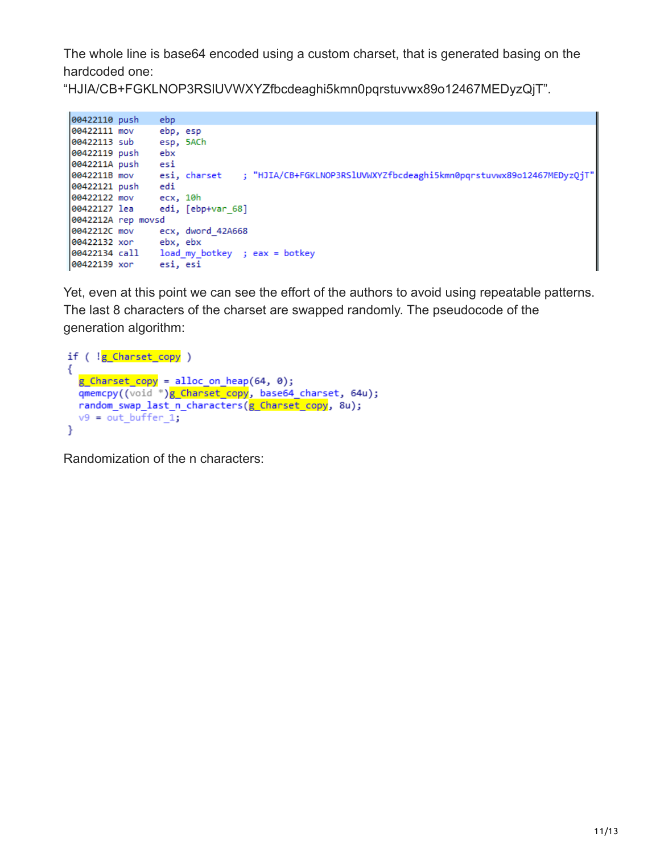The whole line is base64 encoded using a custom charset, that is generated basing on the hardcoded one:

"HJIA/CB+FGKLNOP3RSlUVWXYZfbcdeaghi5kmn0pqrstuvwx89o12467MEDyzQjT".

```
00422110 push
              ebp
00422111 mov
              ebp, esp
00422113 sub
              esp, 5ACh
00422119 push
              ebx
0042211A push
              esi
              esi, charset ; "HJIA/CB+FGKLNOP3RSlUVWXYZfbcdeaghi5kmn0pqrstuvwx89o12467MEDyzQjT"
0042211B mov
00422121 push
              edi
00422122 mov
              ecx, 10h
00422127 lea
             edi, [ebp+var_68]
0042212A rep movsd
0042212C mov
            ecx, dword_42A668
00422132 xor
              ebx, ebx
00422139 xor
              esi, esi
```
Yet, even at this point we can see the effort of the authors to avoid using repeatable patterns. The last 8 characters of the charset are swapped randomly. The pseudocode of the generation algorithm:

```
if ( !g Charset copy )
ſ
  g Charset copy = alloc on heap(64, 0);
  qmemcpy((void *)g_Charset_copy, base64_charset, 64u);
  random_swap_last_n_characters(g_Charset_copy, 8u);
 v9 = out buffer 1;ł
```
Randomization of the n characters: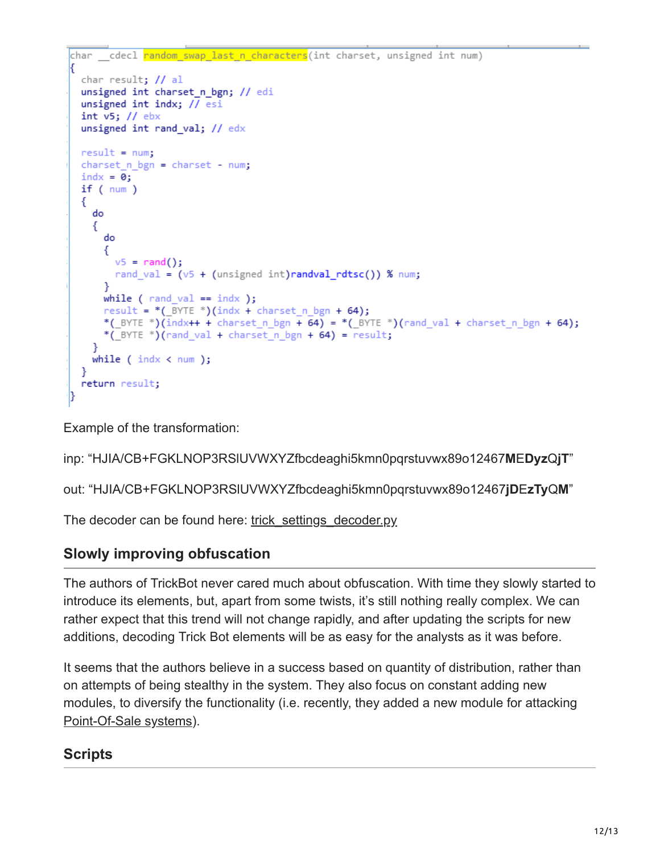```
char _cdecl random_swap_last_n_characters(int charset, unsigned int num)
 char result; // al
 unsigned int charset n bgn; // edi
 unsigned int indx; // esi
 int v5; // ebxunsigned int rand_val; // edx
 result = num;charset_n_bgn = charset - num;
 \text{indx} = 0;if (num)€
   do
    ₹
      do
      ÷.
       v5 = rand();
       rand val = (v5 + (unsigned int)randval rdisc()) % num;
      P.
     while ( rand_val == indx );
      result = *(\_B YTE *)(indx + charset_n_{Bn} + 64);*(_BYTE *)(indx++ + charset_n_bgn + 64) = *(_BYTE *)(rand_val + charset_n_bgn + 64);
      *( BYTE ^*)(rand_val + charset_n_bgn + 64) = result;
   while ( indx < num );}
 return result;
h
```
Example of the transformation:

inp: "HJIA/CB+FGKLNOP3RSlUVWXYZfbcdeaghi5kmn0pqrstuvwx89o12467**M**E**Dyz**Q**jT**"

out: "HJIA/CB+FGKLNOP3RSlUVWXYZfbcdeaghi5kmn0pqrstuvwx89o12467**jD**E**zTy**Q**M**"

The decoder can be found here: [trick\\_settings\\_decoder.py](https://github.com/hasherezade/malware_analysis/blob/master/trickbot/trick_settings_decoder.py)

### **Slowly improving obfuscation**

The authors of TrickBot never cared much about obfuscation. With time they slowly started to introduce its elements, but, apart from some twists, it's still nothing really complex. We can rather expect that this trend will not change rapidly, and after updating the scripts for new additions, decoding Trick Bot elements will be as easy for the analysts as it was before.

It seems that the authors believe in a success based on quantity of distribution, rather than on attempts of being stealthy in the system. They also focus on constant adding new modules, to diversify the functionality (i.e. recently, they added a new module for attacking [Point-Of-Sale systems](https://www.vkremez.com/2018/11/lets-learn-introducing-latest-trickbot.html)).

### **Scripts**